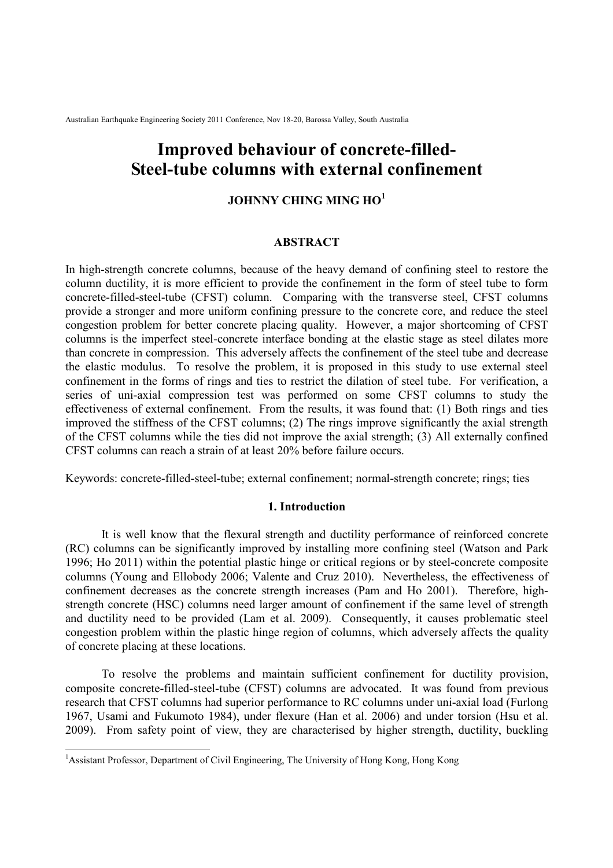# **Improved behaviour of concrete-filled-Steel-tube columns with external confinement**

## **JOHNNY CHING MING HO<sup>1</sup>**

## **ABSTRACT**

In high-strength concrete columns, because of the heavy demand of confining steel to restore the column ductility, it is more efficient to provide the confinement in the form of steel tube to form concrete-filled-steel-tube (CFST) column. Comparing with the transverse steel, CFST columns provide a stronger and more uniform confining pressure to the concrete core, and reduce the steel congestion problem for better concrete placing quality. However, a major shortcoming of CFST columns is the imperfect steel-concrete interface bonding at the elastic stage as steel dilates more than concrete in compression. This adversely affects the confinement of the steel tube and decrease the elastic modulus. To resolve the problem, it is proposed in this study to use external steel confinement in the forms of rings and ties to restrict the dilation of steel tube. For verification, a series of uni-axial compression test was performed on some CFST columns to study the effectiveness of external confinement. From the results, it was found that: (1) Both rings and ties improved the stiffness of the CFST columns; (2) The rings improve significantly the axial strength of the CFST columns while the ties did not improve the axial strength; (3) All externally confined CFST columns can reach a strain of at least 20% before failure occurs.

Keywords: concrete-filled-steel-tube; external confinement; normal-strength concrete; rings; ties

## **1. Introduction**

 It is well know that the flexural strength and ductility performance of reinforced concrete (RC) columns can be significantly improved by installing more confining steel (Watson and Park 1996; Ho 2011) within the potential plastic hinge or critical regions or by steel-concrete composite columns (Young and Ellobody 2006; Valente and Cruz 2010). Nevertheless, the effectiveness of confinement decreases as the concrete strength increases (Pam and Ho 2001). Therefore, highstrength concrete (HSC) columns need larger amount of confinement if the same level of strength and ductility need to be provided (Lam et al. 2009). Consequently, it causes problematic steel congestion problem within the plastic hinge region of columns, which adversely affects the quality of concrete placing at these locations.

 To resolve the problems and maintain sufficient confinement for ductility provision, composite concrete-filled-steel-tube (CFST) columns are advocated. It was found from previous research that CFST columns had superior performance to RC columns under uni-axial load (Furlong 1967, Usami and Fukumoto 1984), under flexure (Han et al. 2006) and under torsion (Hsu et al. 2009). From safety point of view, they are characterised by higher strength, ductility, buckling

<sup>&</sup>lt;sup>1</sup>Assistant Professor, Department of Civil Engineering, The University of Hong Kong, Hong Kong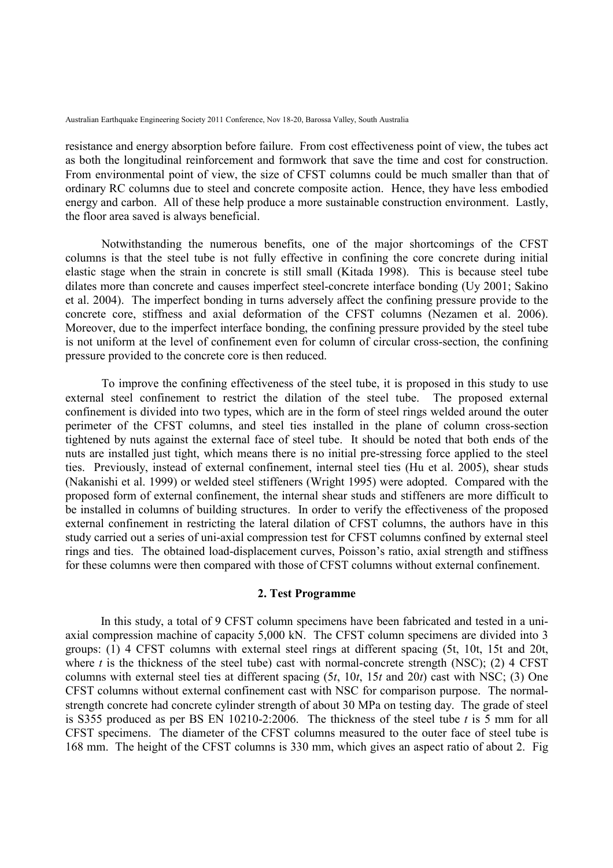resistance and energy absorption before failure. From cost effectiveness point of view, the tubes act as both the longitudinal reinforcement and formwork that save the time and cost for construction. From environmental point of view, the size of CFST columns could be much smaller than that of ordinary RC columns due to steel and concrete composite action. Hence, they have less embodied energy and carbon. All of these help produce a more sustainable construction environment. Lastly, the floor area saved is always beneficial.

 Notwithstanding the numerous benefits, one of the major shortcomings of the CFST columns is that the steel tube is not fully effective in confining the core concrete during initial elastic stage when the strain in concrete is still small (Kitada 1998). This is because steel tube dilates more than concrete and causes imperfect steel-concrete interface bonding (Uy 2001; Sakino et al. 2004). The imperfect bonding in turns adversely affect the confining pressure provide to the concrete core, stiffness and axial deformation of the CFST columns (Nezamen et al. 2006). Moreover, due to the imperfect interface bonding, the confining pressure provided by the steel tube is not uniform at the level of confinement even for column of circular cross-section, the confining pressure provided to the concrete core is then reduced.

 To improve the confining effectiveness of the steel tube, it is proposed in this study to use external steel confinement to restrict the dilation of the steel tube. The proposed external confinement is divided into two types, which are in the form of steel rings welded around the outer perimeter of the CFST columns, and steel ties installed in the plane of column cross-section tightened by nuts against the external face of steel tube. It should be noted that both ends of the nuts are installed just tight, which means there is no initial pre-stressing force applied to the steel ties. Previously, instead of external confinement, internal steel ties (Hu et al. 2005), shear studs (Nakanishi et al. 1999) or welded steel stiffeners (Wright 1995) were adopted. Compared with the proposed form of external confinement, the internal shear studs and stiffeners are more difficult to be installed in columns of building structures. In order to verify the effectiveness of the proposed external confinement in restricting the lateral dilation of CFST columns, the authors have in this study carried out a series of uni-axial compression test for CFST columns confined by external steel rings and ties. The obtained load-displacement curves, Poisson's ratio, axial strength and stiffness for these columns were then compared with those of CFST columns without external confinement.

## **2. Test Programme**

In this study, a total of 9 CFST column specimens have been fabricated and tested in a uniaxial compression machine of capacity 5,000 kN. The CFST column specimens are divided into 3 groups: (1) 4 CFST columns with external steel rings at different spacing (5t, 10t, 15t and 20t, where  $t$  is the thickness of the steel tube) cast with normal-concrete strength (NSC); (2)  $4 \text{ CFST}$ columns with external steel ties at different spacing (5*t*, 10*t*, 15*t* and 20*t*) cast with NSC; (3) One CFST columns without external confinement cast with NSC for comparison purpose. The normalstrength concrete had concrete cylinder strength of about 30 MPa on testing day. The grade of steel is S355 produced as per BS EN 10210-2:2006. The thickness of the steel tube *t* is 5 mm for all CFST specimens. The diameter of the CFST columns measured to the outer face of steel tube is 168 mm. The height of the CFST columns is 330 mm, which gives an aspect ratio of about 2. Fig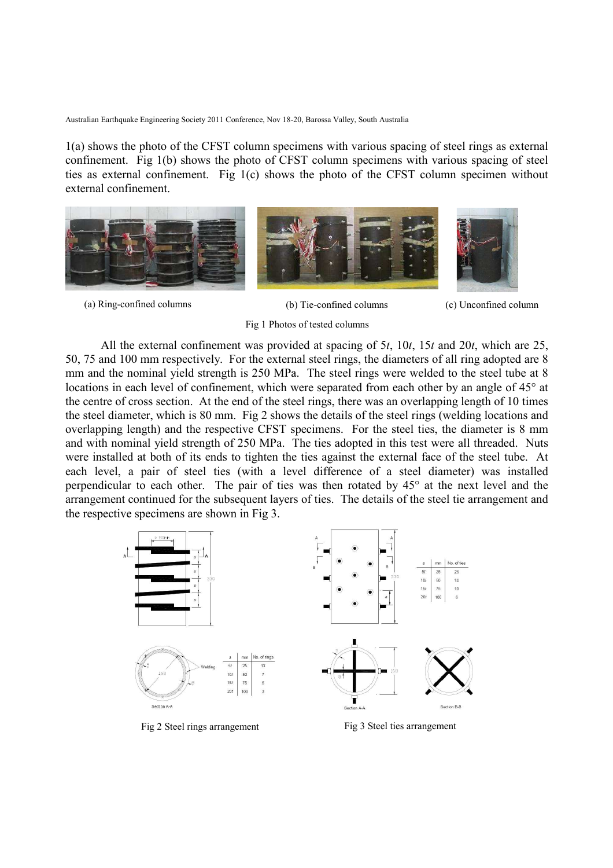1(a) shows the photo of the CFST column specimens with various spacing of steel rings as external confinement. Fig 1(b) shows the photo of CFST column specimens with various spacing of steel ties as external confinement. Fig 1(c) shows the photo of the CFST column specimen without external confinement.



(a) Ring-confined columns (b) Tie-confined columns (c) Unconfined column



Fig 1 Photos of tested columns

All the external confinement was provided at spacing of 5*t*, 10*t*, 15*t* and 20*t*, which are 25, 50, 75 and 100 mm respectively. For the external steel rings, the diameters of all ring adopted are 8 mm and the nominal yield strength is 250 MPa. The steel rings were welded to the steel tube at 8 locations in each level of confinement, which were separated from each other by an angle of 45° at the centre of cross section. At the end of the steel rings, there was an overlapping length of 10 times the steel diameter, which is 80 mm. Fig 2 shows the details of the steel rings (welding locations and overlapping length) and the respective CFST specimens. For the steel ties, the diameter is 8 mm and with nominal yield strength of 250 MPa. The ties adopted in this test were all threaded. Nuts were installed at both of its ends to tighten the ties against the external face of the steel tube. At each level, a pair of steel ties (with a level difference of a steel diameter) was installed perpendicular to each other. The pair of ties was then rotated by 45° at the next level and the arrangement continued for the subsequent layers of ties. The details of the steel tie arrangement and the respective specimens are shown in Fig 3.



Fig 2 Steel rings arrangement Fig 3 Steel ties arrangement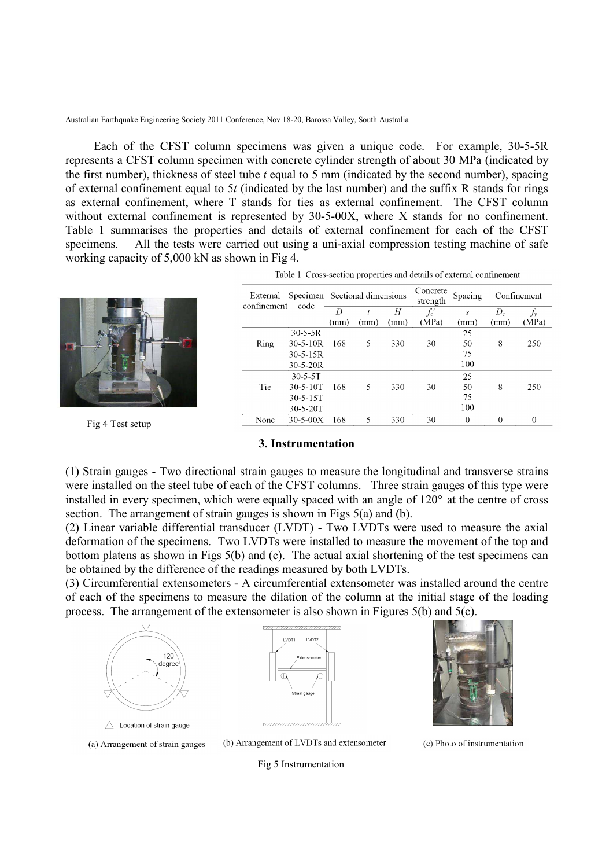Each of the CFST column specimens was given a unique code. For example, 30-5-5R represents a CFST column specimen with concrete cylinder strength of about 30 MPa (indicated by the first number), thickness of steel tube *t* equal to 5 mm (indicated by the second number), spacing of external confinement equal to 5*t* (indicated by the last number) and the suffix R stands for rings as external confinement, where T stands for ties as external confinement. The CFST column without external confinement is represented by 30-5-00X, where X stands for no confinement. Table 1 summarises the properties and details of external confinement for each of the CFST specimens. All the tests were carried out using a uni-axial compression testing machine of safe working capacity of 5,000 kN as shown in Fig 4.

|                                |             |                | External Specimen Sectional dimensions |      |      | Concrete<br>strength | Spacing  |       | Confinement |
|--------------------------------|-------------|----------------|----------------------------------------|------|------|----------------------|----------|-------|-------------|
|                                | confinement | code           | D                                      |      | Н    | f:′                  | S        | $D_c$ |             |
|                                |             |                | (mm)                                   | (mm) | (mm) | (MPa)                | (mm)     | (mm)  | (MPa)       |
|                                |             | $30 - 5 - 5R$  |                                        |      |      |                      | 25       |       |             |
|                                | Ring        | $30 - 5 - 10R$ | 168                                    | 5    | 330  | 30                   | 50       | 8     | 250         |
|                                |             | $30 - 5 - 15R$ |                                        |      |      |                      | 75       |       |             |
|                                |             | $30 - 5 - 20R$ |                                        |      |      |                      | 100      |       |             |
|                                |             | $30 - 5 - 5T$  |                                        |      |      |                      | 25       |       |             |
|                                | Tie         | $30 - 5 - 10T$ | 168                                    | 5    | 330  | 30                   | 50       | 8     | 250         |
|                                |             | $30 - 5 - 15T$ |                                        |      |      |                      | 75       |       |             |
|                                |             | 30-5-20T       |                                        |      |      |                      | 100      |       |             |
| $E = 4$ T $\leq$ $\leq$ $\leq$ | None        | $30 - 5 - 00X$ | 168                                    |      | 330  | 30                   | $\theta$ |       | $\theta$    |

Table 1 Cross-section properties and details of external confinement

#### **3. Instrumentation**

(1) Strain gauges - Two directional strain gauges to measure the longitudinal and transverse strains were installed on the steel tube of each of the CFST columns. Three strain gauges of this type were installed in every specimen, which were equally spaced with an angle of 120° at the centre of cross section. The arrangement of strain gauges is shown in Figs 5(a) and (b).

(2) Linear variable differential transducer (LVDT) - Two LVDTs were used to measure the axial deformation of the specimens. Two LVDTs were installed to measure the movement of the top and bottom platens as shown in Figs 5(b) and (c). The actual axial shortening of the test specimens can be obtained by the difference of the readings measured by both LVDTs.

(3) Circumferential extensometers - A circumferential extensometer was installed around the centre of each of the specimens to measure the dilation of the column at the initial stage of the loading process. The arrangement of the extensometer is also shown in Figures  $5(b)$  and  $5(c)$ .



Fig 4 Test setup





(a) Arrangement of strain gauges

(b) Arrangement of LVDTs and extensometer

(c) Photo of instrumentation

Fig 5 Instrumentation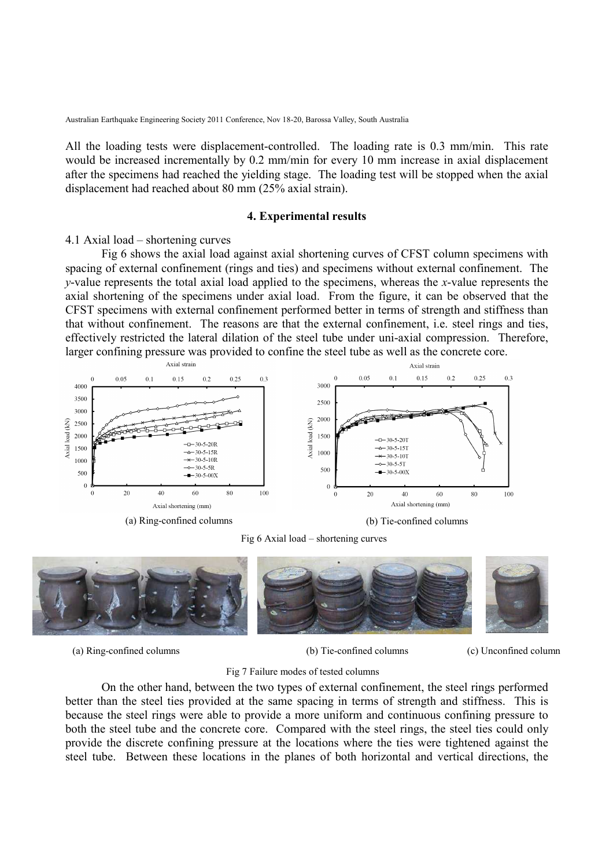All the loading tests were displacement-controlled. The loading rate is 0.3 mm/min. This rate would be increased incrementally by 0.2 mm/min for every 10 mm increase in axial displacement after the specimens had reached the yielding stage. The loading test will be stopped when the axial displacement had reached about 80 mm (25% axial strain).

#### **4. Experimental results**

#### 4.1 Axial load – shortening curves

 Fig 6 shows the axial load against axial shortening curves of CFST column specimens with spacing of external confinement (rings and ties) and specimens without external confinement. The *y*-value represents the total axial load applied to the specimens, whereas the *x*-value represents the axial shortening of the specimens under axial load. From the figure, it can be observed that the CFST specimens with external confinement performed better in terms of strength and stiffness than that without confinement. The reasons are that the external confinement, i.e. steel rings and ties, effectively restricted the lateral dilation of the steel tube under uni-axial compression. Therefore, larger confining pressure was provided to confine the steel tube as well as the concrete core.



Fig 6 Axial load – shortening curves



(a) Ring-confined columns (b) Tie-confined columns (c) Unconfined column

## Fig 7 Failure modes of tested columns

 On the other hand, between the two types of external confinement, the steel rings performed better than the steel ties provided at the same spacing in terms of strength and stiffness. This is because the steel rings were able to provide a more uniform and continuous confining pressure to both the steel tube and the concrete core. Compared with the steel rings, the steel ties could only provide the discrete confining pressure at the locations where the ties were tightened against the steel tube. Between these locations in the planes of both horizontal and vertical directions, the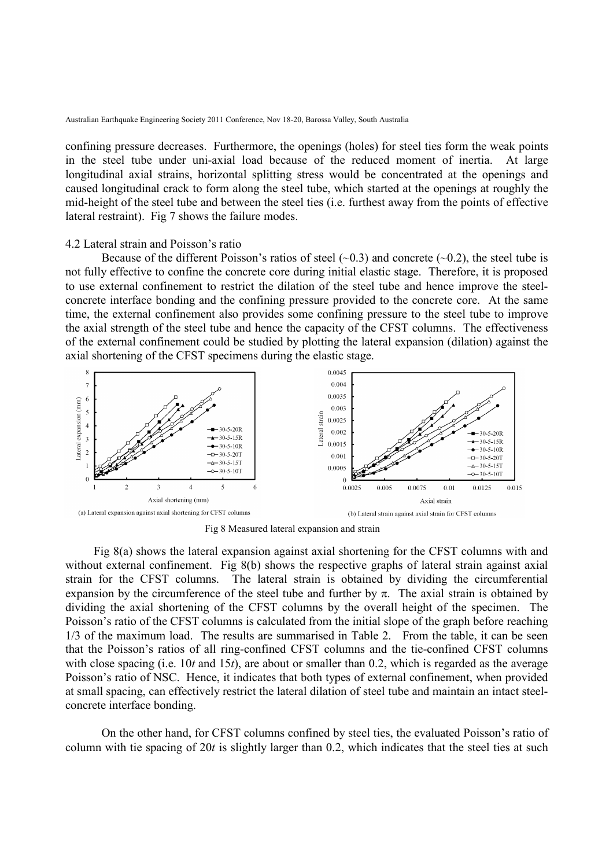confining pressure decreases. Furthermore, the openings (holes) for steel ties form the weak points in the steel tube under uni-axial load because of the reduced moment of inertia. At large longitudinal axial strains, horizontal splitting stress would be concentrated at the openings and caused longitudinal crack to form along the steel tube, which started at the openings at roughly the mid-height of the steel tube and between the steel ties (i.e. furthest away from the points of effective lateral restraint). Fig 7 shows the failure modes.

#### 4.2 Lateral strain and Poisson's ratio

Because of the different Poisson's ratios of steel  $(\sim 0.3)$  and concrete  $(\sim 0.2)$ , the steel tube is not fully effective to confine the concrete core during initial elastic stage. Therefore, it is proposed to use external confinement to restrict the dilation of the steel tube and hence improve the steelconcrete interface bonding and the confining pressure provided to the concrete core. At the same time, the external confinement also provides some confining pressure to the steel tube to improve the axial strength of the steel tube and hence the capacity of the CFST columns. The effectiveness of the external confinement could be studied by plotting the lateral expansion (dilation) against the axial shortening of the CFST specimens during the elastic stage.



Fig 8 Measured lateral expansion and strain

 Fig 8(a) shows the lateral expansion against axial shortening for the CFST columns with and without external confinement. Fig 8(b) shows the respective graphs of lateral strain against axial strain for the CFST columns. The lateral strain is obtained by dividing the circumferential expansion by the circumference of the steel tube and further by  $\pi$ . The axial strain is obtained by dividing the axial shortening of the CFST columns by the overall height of the specimen. The Poisson's ratio of the CFST columns is calculated from the initial slope of the graph before reaching 1/3 of the maximum load. The results are summarised in Table 2. From the table, it can be seen that the Poisson's ratios of all ring-confined CFST columns and the tie-confined CFST columns with close spacing (i.e. 10*t* and 15*t*), are about or smaller than 0.2, which is regarded as the average Poisson's ratio of NSC. Hence, it indicates that both types of external confinement, when provided at small spacing, can effectively restrict the lateral dilation of steel tube and maintain an intact steelconcrete interface bonding.

On the other hand, for CFST columns confined by steel ties, the evaluated Poisson's ratio of column with tie spacing of 20*t* is slightly larger than 0.2, which indicates that the steel ties at such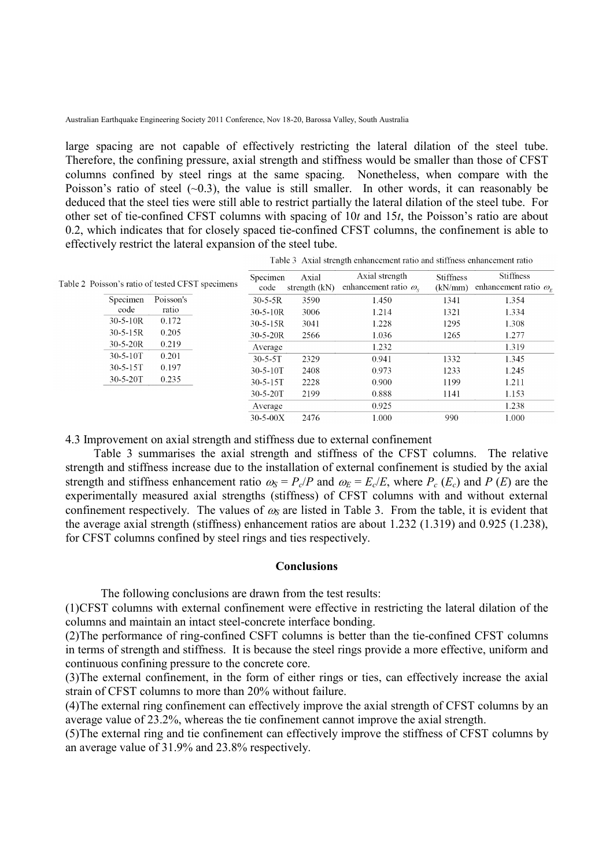large spacing are not capable of effectively restricting the lateral dilation of the steel tube. Therefore, the confining pressure, axial strength and stiffness would be smaller than those of CFST columns confined by steel rings at the same spacing. Nonetheless, when compare with the Poisson's ratio of steel  $(-0.3)$ , the value is still smaller. In other words, it can reasonably be deduced that the steel ties were still able to restrict partially the lateral dilation of the steel tube. For other set of tie-confined CFST columns with spacing of 10*t* and 15*t*, the Poisson's ratio are about 0.2, which indicates that for closely spaced tie-confined CFST columns, the confinement is able to effectively restrict the lateral expansion of the steel tube.

|                | Table 2 Poisson's ratio of tested CFST specimens | Specimen<br>code | Axial<br>strength $(kN)$ | Axial strength<br>enhancement ratio $\omega_{s}$ | <b>Stiffness</b><br>(kN/mm) | <b>Stiffness</b><br>enhancement ratio $\omega_r$ |
|----------------|--------------------------------------------------|------------------|--------------------------|--------------------------------------------------|-----------------------------|--------------------------------------------------|
| Specimen       | Poisson's                                        | $30 - 5 - 5R$    | 3590                     | 1.450                                            | 1341                        | 1.354                                            |
| code           | ratio                                            | $30-5-10R$       | 3006                     | 1.214                                            | 1321                        | 1.334                                            |
| $30 - 5 - 10R$ | 0.172                                            | $30-5-15R$       | 3041                     | 1.228                                            | 1295                        | 1.308                                            |
| $30 - 5 - 15R$ | 0.205                                            | $30-5-20R$       | 2566                     | 1.036                                            | 1265                        | 1.277                                            |
| $30 - 5 - 20R$ | 0.219                                            | Average          |                          | 1.232                                            |                             | 1.319                                            |
| $30 - 5 - 10T$ | 0.201                                            | $30 - 5 - 5T$    | 2329                     | 0.941                                            | 1332                        | 1.345                                            |
| $30 - 5 - 15T$ | 0.197                                            | $30 - 5 - 10T$   | 2408                     | 0.973                                            | 1233                        | 1.245                                            |
| $30 - 5 - 20T$ | 0.235                                            | $30 - 5 - 15T$   | 2228                     | 0.900                                            | 1199                        | 1.211                                            |
|                |                                                  | $30 - 5 - 20T$   | 2199                     | 0.888                                            | 1141                        | 1.153                                            |
|                |                                                  | Average          |                          | 0.925                                            |                             | 1.238                                            |
|                |                                                  | $30 - 5 - 00X$   | 2476                     | 1.000                                            | 990                         | 1.000                                            |

Table 3 Axial strength enhancement ratio and stiffness enhancement ratio

4.3 Improvement on axial strength and stiffness due to external confinement

 Table 3 summarises the axial strength and stiffness of the CFST columns. The relative strength and stiffness increase due to the installation of external confinement is studied by the axial strength and stiffness enhancement ratio  $\omega_s = P_c/P$  and  $\omega_E = E_c/E$ , where  $P_c(E_c)$  and  $P(E)$  are the experimentally measured axial strengths (stiffness) of CFST columns with and without external confinement respectively. The values of  $\omega_s$  are listed in Table 3. From the table, it is evident that the average axial strength (stiffness) enhancement ratios are about 1.232 (1.319) and 0.925 (1.238), for CFST columns confined by steel rings and ties respectively.

## **Conclusions**

The following conclusions are drawn from the test results:

(1) CFST columns with external confinement were effective in restricting the lateral dilation of the columns and maintain an intact steel-concrete interface bonding.

(2) The performance of ring-confined CSFT columns is better than the tie-confined CFST columns in terms of strength and stiffness. It is because the steel rings provide a more effective, uniform and continuous confining pressure to the concrete core.

(3) The external confinement, in the form of either rings or ties, can effectively increase the axial strain of CFST columns to more than 20% without failure.

(4) The external ring confinement can effectively improve the axial strength of CFST columns by an average value of 23.2%, whereas the tie confinement cannot improve the axial strength.

(5) The external ring and tie confinement can effectively improve the stiffness of CFST columns by an average value of 31.9% and 23.8% respectively.